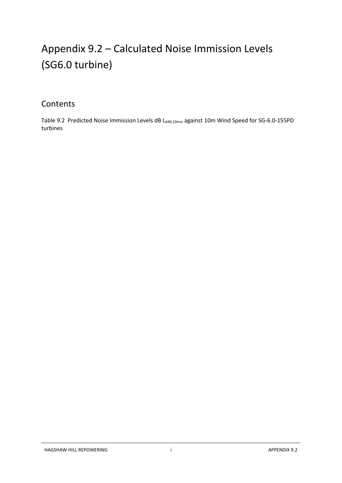# Appendix 9.2 – Calculated Noise Immission Levels (SG6.0 turbine)

### **Contents**

Table 9.2 Predicted Noise Immission Levels dB LA90,10min against 10m Wind Speed for SG-6.0-155PD turbines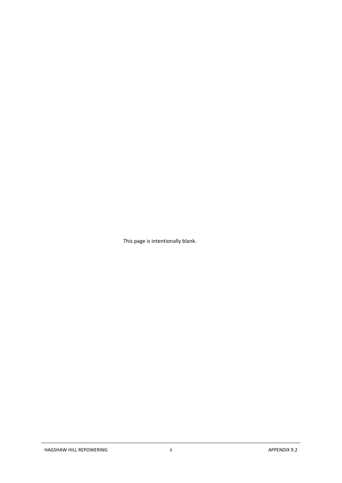This page is intentionally blank.

#### HAGSHAW HILL REPOWERING **ii** ii ali appendix 9.2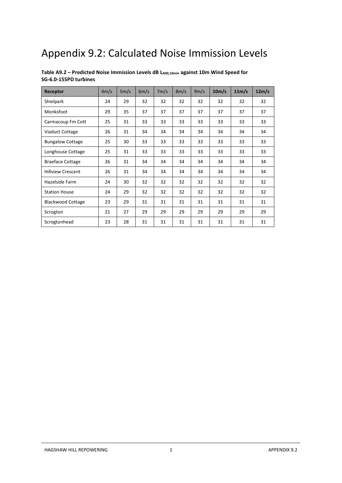## Appendix 9.2: Calculated Noise Immission Levels

| Receptor                 | 4m/s | 5m/s | 6m/s | 7m/s | 8m/s | 9m/s | 10 <sub>m</sub> /s | 11m/s | 12m/s |
|--------------------------|------|------|------|------|------|------|--------------------|-------|-------|
| Shielpark                | 24   | 29   | 32   | 32   | 32   | 32   | 32                 | 32    | 32    |
| Monksfoot                | 29   | 35   | 37   | 37   | 37   | 37   | 37                 | 37    | 37    |
| Carmacoup Fm Cott        | 25   | 31   | 33   | 33   | 33   | 33   | 33                 | 33    | 33    |
| Viaduct Cottage          | 26   | 31   | 34   | 34   | 34   | 34   | 34                 | 34    | 34    |
| <b>Bungalow Cottage</b>  | 25   | 30   | 33   | 33   | 33   | 33   | 33                 | 33    | 33    |
| Longhouse Cottage        | 25   | 31   | 33   | 33   | 33   | 33   | 33                 | 33    | 33    |
| <b>Braeface Cottage</b>  | 26   | 31   | 34   | 34   | 34   | 34   | 34                 | 34    | 34    |
| <b>Hillview Crescent</b> | 26   | 31   | 34   | 34   | 34   | 34   | 34                 | 34    | 34    |
| Hazelside Farm           | 24   | 30   | 32   | 32   | 32   | 32   | 32                 | 32    | 32    |
| <b>Station House</b>     | 24   | 29   | 32   | 32   | 32   | 32   | 32                 | 32    | 32    |
| <b>Blackwood Cottage</b> | 23   | 29   | 31   | 31   | 31   | 31   | 31                 | 31    | 31    |
| Scrogton                 | 21   | 27   | 29   | 29   | 29   | 29   | 29                 | 29    | 29    |
| Scrogtonhead             | 23   | 28   | 31   | 31   | 31   | 31   | 31                 | 31    | 31    |

#### **Table A9.2 – Predicted Noise Immission Levels dB LA90,10min against 10m Wind Speed for SG-6.0-155PD turbines**